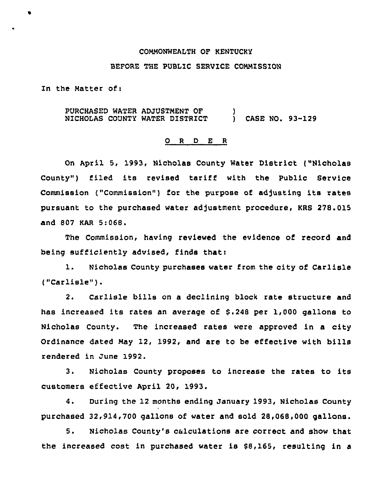## COMMONWEALTH OF KENTUCKY

## BEFORE THE PUBLIC SERVICE COMMISSION

In the Matter of:

PURCHASED WATER ADJUSTMENT OF  $\qquad \qquad$  )<br>NICHOLAS COUNTY WATER DISTRICT  $\qquad \qquad$  ) CASE NO. 93-129 NICHOLAS COUNTY WATER DISTRICT

# 0 <sup>R</sup> <sup>D</sup> E <sup>R</sup>

On April 5, 1993, Nicholas County Water District ("Nicholas County") filed its revised tariff with the Public Service Commission ("Commission") for the purpose of adjusting its rates pursuant to the purchased water adjustment procedure, KRS 278.015 and 807 KAR 5:068.

The Commission, having reviewed the evidence of record and being sufficiently advised, finds that:

1. Nicholas County purchases water from the city of Carlisle ("Carlisle").

2. Carlisle bills on a declining block rate structure and has increased its rates an average of \$.248 per 1,000 gallons to Nicholas County. The increased rates were approved in a city Ordinance dated May 12, 1992, and are to be effective with bills rendered in June 1992.

3. Nicholas County proposes to increase the rates to its customers effective April 20, 1993.

4. During the 12 months ending January 1993, Nicholas County purchased 32,914,700 gallons of water and sold 28,068,000 gallons,

5. Nicholas County's calculations are correct and show that the increased cost in purchased water is \$8,165, resulting in a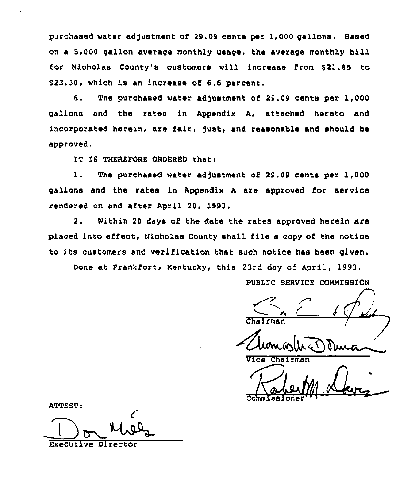purchased water adjustment of 29.09 cents per 1,000 gallons. Based on a 5,000 gallon average monthly usage, the average monthly bill for Nicholas County's customers will increase from \$21.85 to  $$23.30$ , which is an increase of  $6.6$  percent.

6. The purchased water adjustment of 29.09 cents per 1,000 gallons and the rates in Appendix A, attached hereto and incorporated herein, are fair, just, and reasonable and should be approved.

IT IS THEREFORE ORDERED that:

1. The purchased water adjustment of 29.09 cents per 1,000 gallons and the rates in Appendix <sup>A</sup> are approved for service rendered on and after April 20, 1993.

2. Within 20 days of the date the rates approved herein are placed into effect, Nicholas County shall file a copy of the notice to its customers and verification that such notice has been given.

Done at Frankfort, Kentucky, this 23rd day of April, 1993.

PUBLIC SERVICE COMMISSION

vice Chairman

Commission

ATTEST:

Director and the Director of the Director of the Director of the Director of the Director of the Director of the Director of the Director of the Director of the Director of the Director of the Director of the Director of t